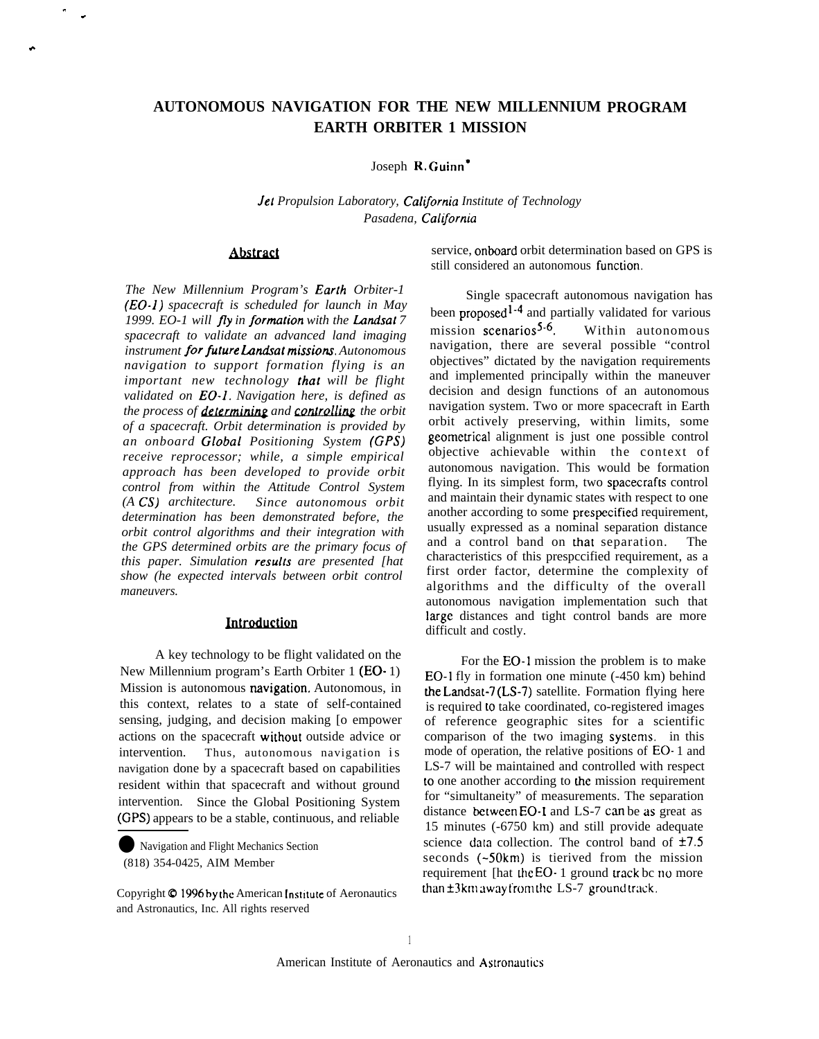# **AUTONOMOUS NAVIGATION FOR THE NEW MILLENNIUM PROGRAM EARTH ORBITER 1 MISSION**

Joseph R. Guinn<sup>\*</sup>

Jet Propulsion Laboratory, California Institute of Technology *Pasadena, CallJornia*

# **Abstract**

" .

.

*The New Millennium Program's Ear[h Orbiter-1 (EO-1) spacecraft is scheduled for launch in May* 1999. EO-1 will fly in formation with the Landsat 7 *spacecraft to validate an advanced land imaging instrument for fiture Landat missiou. Autonomous navigation to support formation flying is an important new technology that will be flight validated on EO-1. Navigation here, is defined as the process of a promation with the Landsat /*<br>*spacecraft to validate an advanced land imaging*<br>*instrument for future Landsat missions. Autonomous*<br>*navigation to support formation flying is an*<br>*important new technolog of a spacecraft. Orbit determination is provided by an onboard Global Positioning System (GPS) receive reprocessor; while, a simple empirical approach has been developed to provide orbit control from within the Attitude Control System (A CS) architecture. Since autonomous orbit determination has been demonstrated before, the orbit control algorithms and their integration with the GPS determined orbits are the primary focus of this paper. Simulation results are presented [hat show (he expected intervals between orbit control maneuvers.*

#### Introduction

A key technology to be flight validated on the New Millennium program's Earth Orbiter 1 (EO- 1) Mission is autonomous navigation. Autonomous, in this context, relates to a state of self-contained sensing, judging, and decision making [o empower actions on the spacecraft without outside advice or intervention. Thus, autonomous navigation is navigation done by a spacecraft based on capabilities resident within that spacecraft and without ground intervention. Since the Global Positioning System (GPS) appears to be a stable, continuous, and reliable

Navigation and Flight Mechanics Section (818) 354-0425, AIM Member

service, onboard orbit determination based on GPS is still considered an autonomous function.

Single spacecraft autonomous navigation has been proposed<sup>1-4</sup> and partially validated for various mission scenarios<sup>5-6</sup>. Within autonomous navigation, there are several possible "control objectives" dictated by the navigation requirements and implemented principally within the maneuver decision and design functions of an autonomous navigation system. Two or more spacecraft in Earth orbit actively preserving, within limits, some geomewical alignment is just one possible control objective achievable within the context of autonomous navigation. This would be formation flying. In its simplest form, two spacecrafts control and maintain their dynamic states with respect to one another according to some prespecified requirement, usually expressed as a nominal separation distance and a control band on that separation. The characteristics of this prespccified requirement, as a first order factor, determine the complexity of algorithms and the difficulty of the overall autonomous navigation implementation such that large distances and tight control bands are more difficult and costly.

For the EO-I mission the problem is to make EO-1 fly in formation one minute (-450 km) behind the Landsat-7 (LS-7) satellite. Formation flying here is required to take coordinated, co-registered images of reference geographic sites for a scientific comparison of the two imaging systems. in this mode of operation, the relative positions of EO- 1 and LS-7 will be maintained and controlled with respect to one another according to dre mission requirement for "simultaneity" of measurements. The separation distance between  $EO-1$  and  $LS-7$  can be as great as 15 minutes (-6750 km) and still provide adequate science data collection. The control band of  $\pm 7.5$ seconds (~50km) is tierived from the mission requirement [hat the  $EO-1$  ground track bc no more than  $\pm 3$ km away from the LS-7 ground track.

Copyright  $\circ$  1996 by the American Institute of Aeronautics and Astronautics, Inc. All rights reserved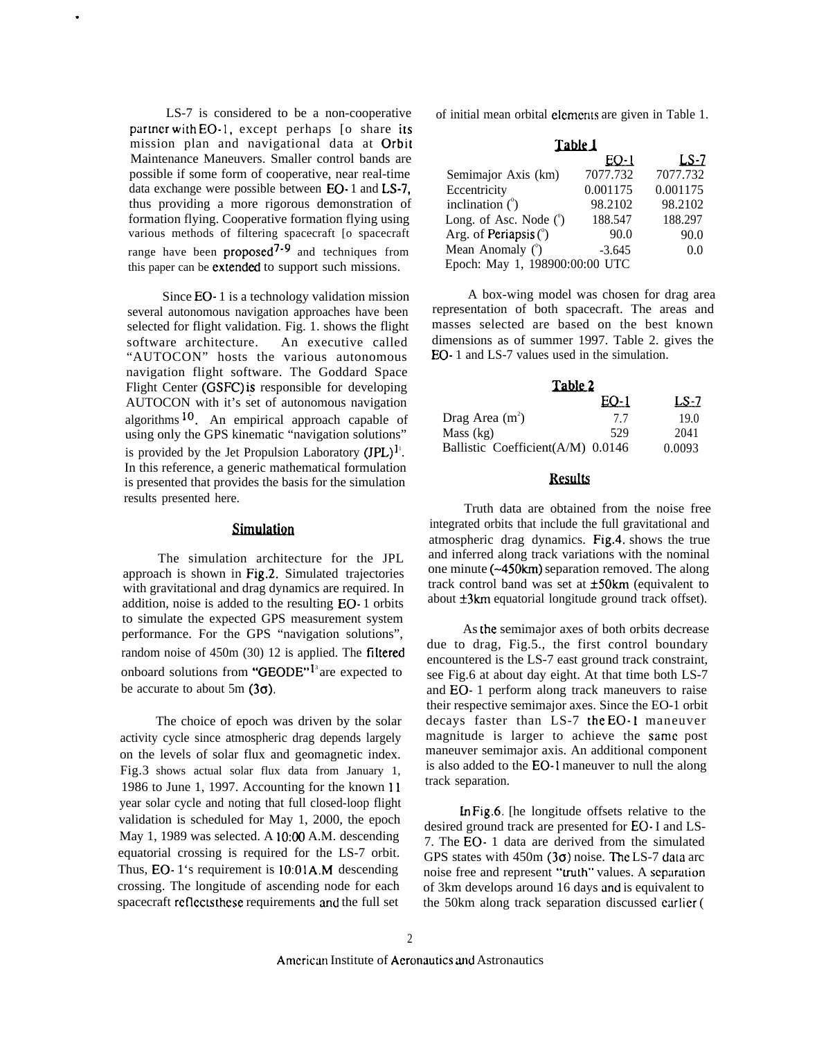LS-7 is considered to be a non-cooperative partner with EO-1, except perhaps [o share its mission plan and navigational data at Orbit Maintenance Maneuvers. Smaller control bands are possible if some form of cooperative, near real-time data exchange were possible between EO- 1 and LS-7, thus providing a more rigorous demonstration of formation flying. Cooperative formation flying using various methods of filtering spacecraft [o spacecraft range have been proposed $7-9$  and techniques from this paper can be extended to support such missions.

.

Since EO- 1 is a technology validation mission several autonomous navigation approaches have been selected for flight validation. Fig. 1. shows the flight software architecture. An executive called "AUTOCON" hosts the various autonomous navigation flight software. The Goddard Space Flight Center (GSFC) is responsible for developing AUTOCON with it's set of autonomous navigation algorithms  $10$ . An empirical approach capable of using only the GPS kinematic "navigation solutions" is provided by the Jet Propulsion Laboratory  $(JPL)^{1}$ . In this reference, a generic mathematical formulation is presented that provides the basis for the simulation results presented here.

## **Simulation**

The simulation architecture for the JPL approach is shown in Fig.2. Simulated trajectories with gravitational and drag dynamics are required. In addition, noise is added to the resulting EO- 1 orbits to simulate the expected GPS measurement system performance. For the GPS "navigation solutions", random noise of  $450m (30)$  12 is applied. The filtered onboard solutions from "GEODE" $l<sup>3</sup>$ are expected to be accurate to about 5m  $(3\sigma)$ .

The choice of epoch was driven by the solar activity cycle since atmospheric drag depends largely on the levels of solar flux and geomagnetic index. Fig.3 shows actual solar flux data from January 1, 1986 to June 1, 1997. Accounting for the known 11 year solar cycle and noting that full closed-loop flight validation is scheduled for May 1, 2000, the epoch May 1, 1989 was selected. A 10:00 A.M. descending equatorial crossing is required for the LS-7 orbit. Thus, EO-  $1$ 's requirement is  $10:01A$ . M descending crossing. The longitude of ascending node for each spacecraft rcflccls these requirements and the full set

of initial mean orbital elements are given in Table 1.

| Table 1                        |          |          |  |
|--------------------------------|----------|----------|--|
|                                | $EQ-1$   | $LS-7$   |  |
| Semimajor Axis (km)            | 7077.732 | 7077.732 |  |
| Eccentricity                   | 0.001175 | 0.001175 |  |
| inclination $($ <sup>o</sup> ) | 98.2102  | 98.2102  |  |
| Long. of Asc. Node $(°)$       | 188.547  | 188.297  |  |
| Arg. of Periapsis $(°)$        | 90.0     | 90.0     |  |
| Mean Anomaly $(^\circ)$        | $-3.645$ | 0.0      |  |
| Epoch: May 1, 198900:00:00 UTC |          |          |  |

A box-wing model was chosen for drag area representation of both spacecraft. The areas and masses selected are based on the best known dimensions as of summer 1997. Table 2. gives the EO- 1 and LS-7 values used in the simulation.

| Table 2                           |      |        |
|-----------------------------------|------|--------|
|                                   | EO-1 | LS-7   |
| Drag Area $(m^2)$                 | 77   | 19.0   |
| Mass (kg)                         | 529  | 2041   |
| Ballistic Coefficient(A/M) 0.0146 |      | 0.0093 |

# **Results**

Truth data are obtained from the noise free integrated orbits that include the full gravitational and atmospheric drag dynamics. Fig.4. shows the true and inferred along track variations with the nominal one minute (-450km) separation removed. The along track control band was set at  $\pm 50 \text{km}$  (equivalent to about  $\pm 3km$  equatorial longitude ground track offset).

As the semimajor axes of both orbits decrease due to drag, Fig.5., the first control boundary encountered is the LS-7 east ground track constraint, see Fig.6 at about day eight. At that time both LS-7 and EO- 1 perform along track maneuvers to raise their respective semimajor axes. Since the EO-1 orbit decays faster than LS-7 the EO-1 maneuver magnitude is larger to achieve the same post maneuver semimajor axis. An additional component is also added to the EO-1 maneuver to null the along track separation.

In Fig.6. [he longitude offsets relative to the desired ground track are presented for EO- I and LS-7. The EO- 1 data are derived from the simulated GPS states with  $450m$  (3 $\sigma$ ) noise. The LS-7 data arc noise free and represent "truth" values. A separation of 3km develops around 16 days and is equivalent to the 50km along track separation discussed earlier ( $\epsilon$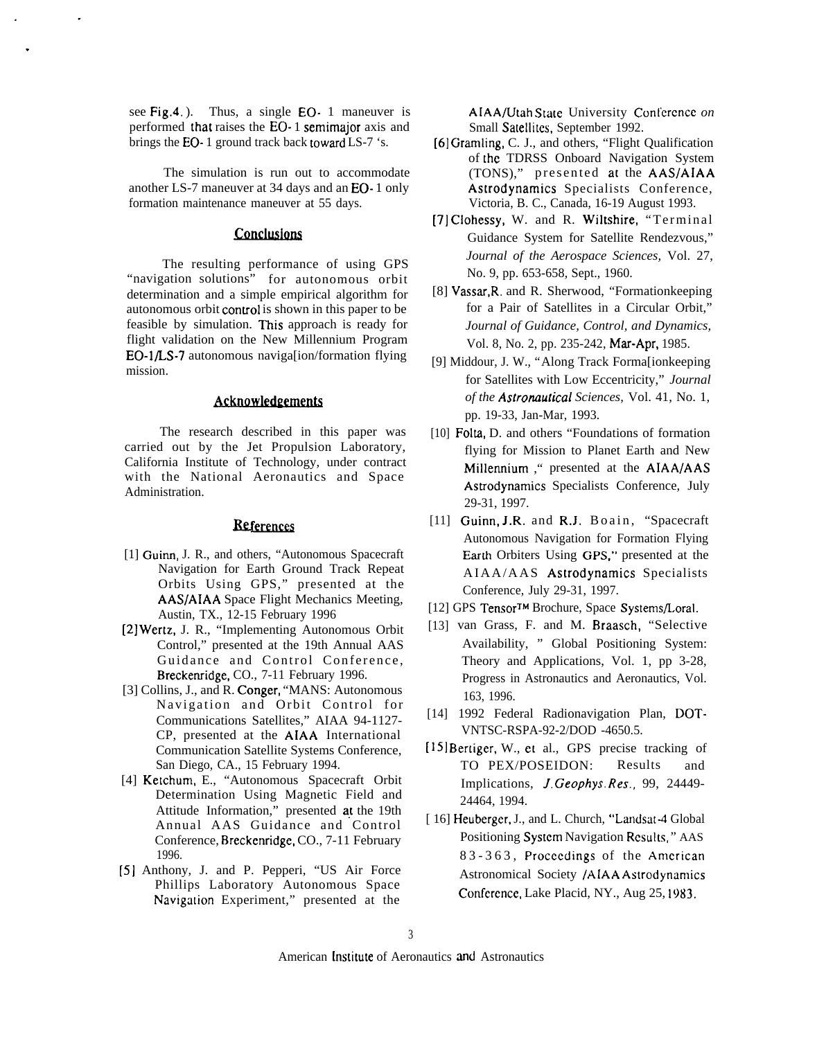see Fig.4.). Thus, a single EO- 1 maneuver is performed that raises the EO- 1 semimajor axis and brings the EO- 1 ground track back toward LS-7 's.

.

The simulation is run out to accommodate another LS-7 maneuver at 34 days and an EO- 1 only formation maintenance maneuver at 55 days.

## **Conclusions**

The resulting performance of using GPS "navigation solutions" for autonomous orbit determination and a simple empirical algorithm for autonomous orbit control is shown in this paper to be feasible by simulation. This approach is ready for flight validation on the New Millennium Program EO-1/LS-7 autonomous naviga[ion/formation flying mission.

#### Acknowledgements

The research described in this paper was carried out by the Jet Propulsion Laboratory, California Institute of Technology, under contract with the National Aeronautics and Space Administration.

### **Beferences**

- [1] Guinn, J. R., and others, "Autonomous Spacecraft Navigation for Earth Ground Track Repeat Orbits Using GPS," presented at the AAS/AIAA Space Flight Mechanics Meeting, Austin, TX., 12-15 February 1996
- (2] Wertz, J. R., "Implementing Autonomous Orbit Control," presented at the 19th Annual AAS Guidance and Control Conference , Breckenridge, CO., 7-11 February 1996.
- [3] Collins, J., and R. Conger, "MANS: Autonomous Navigation and Orbit Control for Communications Satellites," AIAA 94-1127- CP, presented at the AIAA International Communication Satellite Systems Conference, San Diego, CA., 15 February 1994.
- [4] Ketchum, E., "Autonomous Spacecraft Orbit Determination Using Magnetic Field and Attitude Information," presented at the 19th Annual AAS Guidance and Control Conference, Breckenridge, CO., 7-11 February 1996.
- (5] Anthony, J. and P. Pepperi, "US Air Force Phillips Laboratory Autonomous Space Navigation Experiment," presented at the

A[AA/Utah State University Conlcrcncc *on* Small Satellites, September 1992.

- (6] Gramling, C. J., and others, "Flight Qualification of the TDRSS Onboard Navigation System (TONS)," presented at the AAS/AIAA Astrodynamics Specialists Conference, Victoria, B. C., Canada, 16-19 August 1993.
- [7] Clohessy, W. and R. Wiltshire, "Terminal Guidance System for Satellite Rendezvous," *Journal of the Aerospace Sciences,* Vol. 27, No. 9, pp. 653-658, Sept., 1960.
- [8] Vassar,R. and R. Sherwood, "Formationkeeping for a Pair of Satellites in a Circular Orbit," *Journal of Guidance, Control, and Dynamics,* Vol. 8, No. 2, pp. 235-242, Mar-Apr, 1985.
- [9] Middour, J. W., "Along Track Forma[ionkeeping for Satellites with Low Eccentricity," *Journal of the Astronautical Sciences, Vol. 41, No. 1,* pp. 19-33, Jan-Mar, 1993.
- [10] Folta, D. and others "Foundations of formation flying for Mission to Planet Earth and New Millemium ," presented at the AIAA/AAS Astrodynamics Specialists Conference, July 29-31, 1997.
- [11] Guinn, J.R. and R.J. Boain, "Spacecraft Autonomous Navigation for Formation Flying Earth Orbiters Using GPS," presented at the AIAA/AAS Astrodynamics Specialists Conference, July 29-31, 1997.
- [12] GPS Tensor™ Brochure, Space Systems/Loral.
- [13] van Grass, F. and M. Braasch, "Selective Availability, " Global Positioning System: Theory and Applications, Vol. 1, pp 3-28, Progress in Astronautics and Aeronautics, Vol. 163, 1996.
- [14] 1992 Federal Radionavigation Plan, DOT-VNTSC-RSPA-92-2/DOD -4650.5.
- [15] Bertiger, W., et al., GPS precise tracking of TO PEX/POSEIDON: Results and Implications, *J. Geophys. Res.,* 99, 24449- 24464, 1994.
- [ 16] Heuberger, J., and L. Church, "Landsat-4 Global Positioning System Navigation Results," AAS 83-363, Proceedings of the American Astronomical Society /AIAA Astrodynamics Conference, Lake Placid, NY., Aug 25, 1983.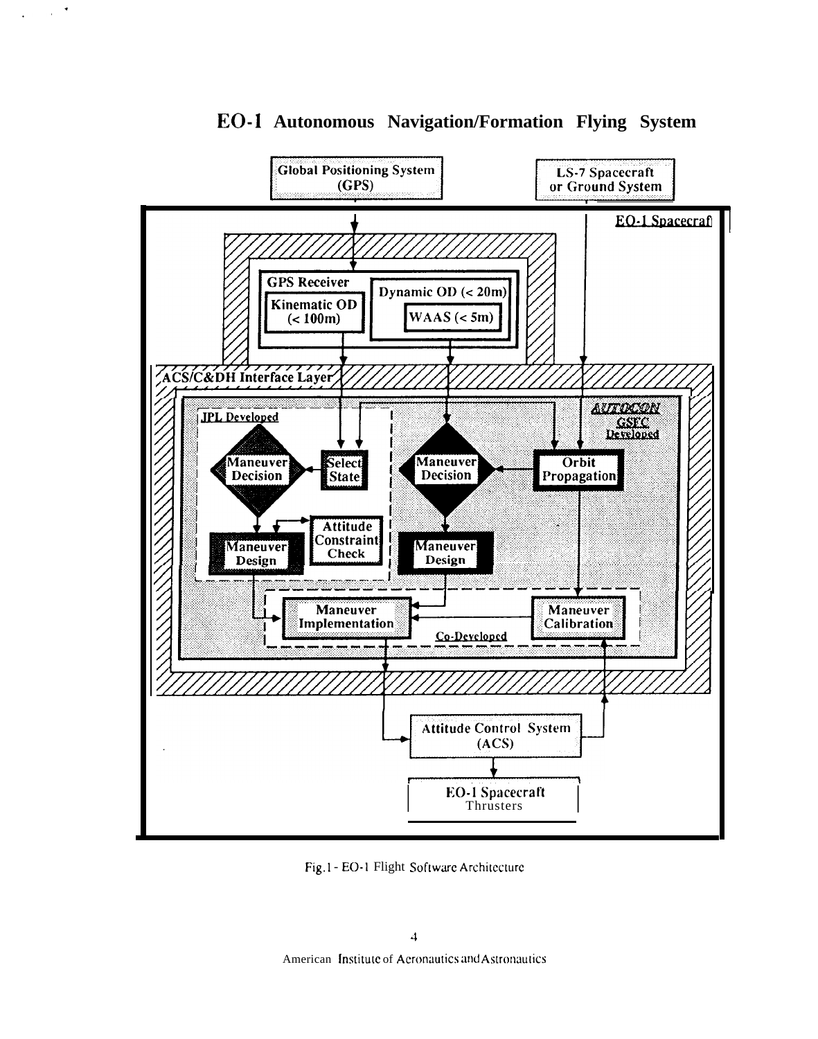

EO-1 Autonomous Navigation/Formation Flying System

 $\sim 10^{-4}$ 

Fig.1-EO-1 Flight Software Architecture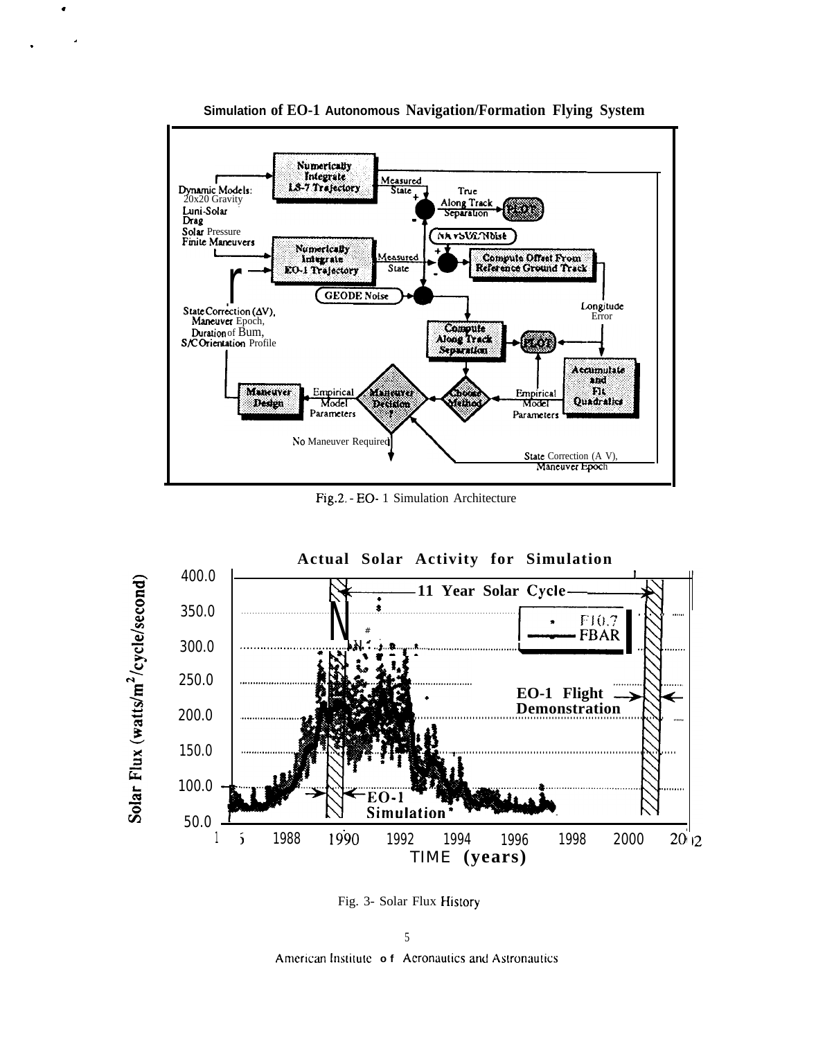

Simulation of EO-1 Autonomous Navigation/Formation Flying System

 $\overline{a}$ 

Fig.2. - EO- 1 Simulation Architecture



Fig. 3- Solar Flux History

5 American Institute of Aeronautics and Astronautics